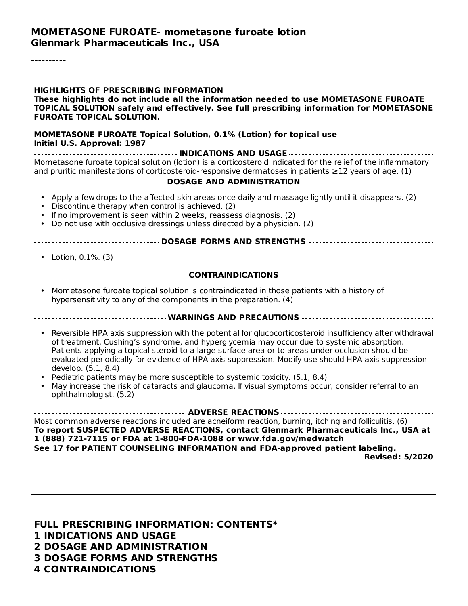#### **MOMETASONE FUROATE- mometasone furoate lotion Glenmark Pharmaceuticals Inc., USA**

----------

| <b>HIGHLIGHTS OF PRESCRIBING INFORMATION</b><br>These highlights do not include all the information needed to use MOMETASONE FUROATE<br>TOPICAL SOLUTION safely and effectively. See full prescribing information for MOMETASONE<br><b>FUROATE TOPICAL SOLUTION.</b>                                                                                                                                                                      |  |  |  |  |  |  |
|-------------------------------------------------------------------------------------------------------------------------------------------------------------------------------------------------------------------------------------------------------------------------------------------------------------------------------------------------------------------------------------------------------------------------------------------|--|--|--|--|--|--|
| <b>MOMETASONE FUROATE Topical Solution, 0.1% (Lotion) for topical use</b><br>Initial U.S. Approval: 1987                                                                                                                                                                                                                                                                                                                                  |  |  |  |  |  |  |
| Mometasone furoate topical solution (lotion) is a corticosteroid indicated for the relief of the inflammatory<br>and pruritic manifestations of corticosteroid-responsive dermatoses in patients $\geq$ 12 years of age. (1)                                                                                                                                                                                                              |  |  |  |  |  |  |
| • Apply a few drops to the affected skin areas once daily and massage lightly until it disappears. (2)<br>• Discontinue therapy when control is achieved. (2)<br>• If no improvement is seen within 2 weeks, reassess diagnosis. (2)<br>Do not use with occlusive dressings unless directed by a physician. (2)<br>$\bullet$                                                                                                              |  |  |  |  |  |  |
| ---------------------------- DOSAGE FORMS AND STRENGTHS -------------------------------                                                                                                                                                                                                                                                                                                                                                   |  |  |  |  |  |  |
| • Lotion, 0.1%. (3)                                                                                                                                                                                                                                                                                                                                                                                                                       |  |  |  |  |  |  |
|                                                                                                                                                                                                                                                                                                                                                                                                                                           |  |  |  |  |  |  |
| Mometasone furoate topical solution is contraindicated in those patients with a history of<br>hypersensitivity to any of the components in the preparation. (4)                                                                                                                                                                                                                                                                           |  |  |  |  |  |  |
|                                                                                                                                                                                                                                                                                                                                                                                                                                           |  |  |  |  |  |  |
| Reversible HPA axis suppression with the potential for glucocorticosteroid insufficiency after withdrawal<br>of treatment, Cushing's syndrome, and hyperglycemia may occur due to systemic absorption.<br>Patients applying a topical steroid to a large surface area or to areas under occlusion should be<br>evaluated periodically for evidence of HPA axis suppression. Modify use should HPA axis suppression<br>develop. (5.1, 8.4) |  |  |  |  |  |  |
| Pediatric patients may be more susceptible to systemic toxicity. (5.1, 8.4)<br>May increase the risk of cataracts and glaucoma. If visual symptoms occur, consider referral to an<br>ophthalmologist. (5.2)                                                                                                                                                                                                                               |  |  |  |  |  |  |
|                                                                                                                                                                                                                                                                                                                                                                                                                                           |  |  |  |  |  |  |
| Most common adverse reactions included are acneiform reaction, burning, itching and folliculitis. (6)<br>To report SUSPECTED ADVERSE REACTIONS, contact Glenmark Pharmaceuticals Inc., USA at<br>1 (888) 721-7115 or FDA at 1-800-FDA-1088 or www.fda.gov/medwatch<br>See 17 for PATIENT COUNSELING INFORMATION and FDA-approved patient labeling.<br><b>Revised: 5/2020</b>                                                              |  |  |  |  |  |  |
| <b>FULL PRESCRIBING INFORMATION: CONTENTS*</b>                                                                                                                                                                                                                                                                                                                                                                                            |  |  |  |  |  |  |

- **1 INDICATIONS AND USAGE**
- **2 DOSAGE AND ADMINISTRATION**
- **3 DOSAGE FORMS AND STRENGTHS**
- **4 CONTRAINDICATIONS**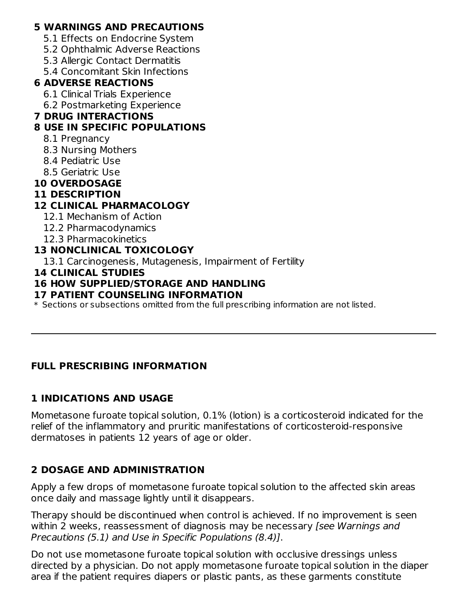#### **5 WARNINGS AND PRECAUTIONS**

- 5.1 Effects on Endocrine System
- 5.2 Ophthalmic Adverse Reactions
- 5.3 Allergic Contact Dermatitis
- 5.4 Concomitant Skin Infections

#### **6 ADVERSE REACTIONS**

- 6.1 Clinical Trials Experience
- 6.2 Postmarketing Experience

### **7 DRUG INTERACTIONS**

### **8 USE IN SPECIFIC POPULATIONS**

- 8.1 Pregnancy
- 8.3 Nursing Mothers
- 8.4 Pediatric Use
- 8.5 Geriatric Use

### **10 OVERDOSAGE**

### **11 DESCRIPTION**

## **12 CLINICAL PHARMACOLOGY**

- 12.1 Mechanism of Action
- 12.2 Pharmacodynamics
- 12.3 Pharmacokinetics

#### **13 NONCLINICAL TOXICOLOGY**

13.1 Carcinogenesis, Mutagenesis, Impairment of Fertility

#### **14 CLINICAL STUDIES**

#### **16 HOW SUPPLIED/STORAGE AND HANDLING**

#### **17 PATIENT COUNSELING INFORMATION**

 $\ast$  Sections or subsections omitted from the full prescribing information are not listed.

### **FULL PRESCRIBING INFORMATION**

## **1 INDICATIONS AND USAGE**

Mometasone furoate topical solution, 0.1% (lotion) is a corticosteroid indicated for the relief of the inflammatory and pruritic manifestations of corticosteroid-responsive dermatoses in patients 12 years of age or older.

## **2 DOSAGE AND ADMINISTRATION**

Apply a few drops of mometasone furoate topical solution to the affected skin areas once daily and massage lightly until it disappears.

Therapy should be discontinued when control is achieved. If no improvement is seen within 2 weeks, reassessment of diagnosis may be necessary [see Warnings and Precautions (5.1) and Use in Specific Populations (8.4)].

Do not use mometasone furoate topical solution with occlusive dressings unless directed by a physician. Do not apply mometasone furoate topical solution in the diaper area if the patient requires diapers or plastic pants, as these garments constitute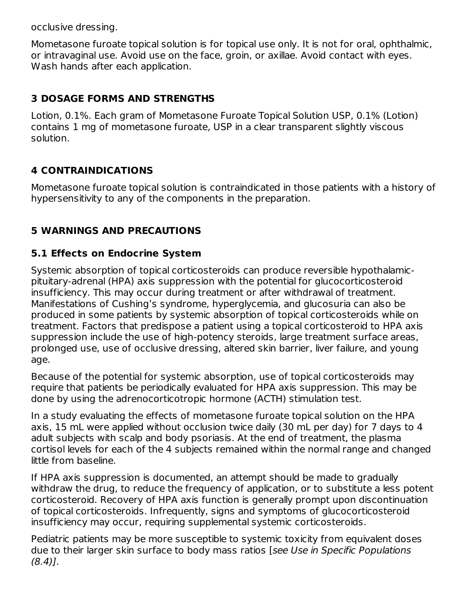occlusive dressing.

Mometasone furoate topical solution is for topical use only. It is not for oral, ophthalmic, or intravaginal use. Avoid use on the face, groin, or axillae. Avoid contact with eyes. Wash hands after each application.

## **3 DOSAGE FORMS AND STRENGTHS**

Lotion, 0.1%. Each gram of Mometasone Furoate Topical Solution USP, 0.1% (Lotion) contains 1 mg of mometasone furoate, USP in a clear transparent slightly viscous solution.

## **4 CONTRAINDICATIONS**

Mometasone furoate topical solution is contraindicated in those patients with a history of hypersensitivity to any of the components in the preparation.

## **5 WARNINGS AND PRECAUTIONS**

## **5.1 Effects on Endocrine System**

Systemic absorption of topical corticosteroids can produce reversible hypothalamicpituitary-adrenal (HPA) axis suppression with the potential for glucocorticosteroid insufficiency. This may occur during treatment or after withdrawal of treatment. Manifestations of Cushing's syndrome, hyperglycemia, and glucosuria can also be produced in some patients by systemic absorption of topical corticosteroids while on treatment. Factors that predispose a patient using a topical corticosteroid to HPA axis suppression include the use of high-potency steroids, large treatment surface areas, prolonged use, use of occlusive dressing, altered skin barrier, liver failure, and young age.

Because of the potential for systemic absorption, use of topical corticosteroids may require that patients be periodically evaluated for HPA axis suppression. This may be done by using the adrenocorticotropic hormone (ACTH) stimulation test.

In a study evaluating the effects of mometasone furoate topical solution on the HPA axis, 15 mL were applied without occlusion twice daily (30 mL per day) for 7 days to 4 adult subjects with scalp and body psoriasis. At the end of treatment, the plasma cortisol levels for each of the 4 subjects remained within the normal range and changed little from baseline.

If HPA axis suppression is documented, an attempt should be made to gradually withdraw the drug, to reduce the frequency of application, or to substitute a less potent corticosteroid. Recovery of HPA axis function is generally prompt upon discontinuation of topical corticosteroids. Infrequently, signs and symptoms of glucocorticosteroid insufficiency may occur, requiring supplemental systemic corticosteroids.

Pediatric patients may be more susceptible to systemic toxicity from equivalent doses due to their larger skin surface to body mass ratios [see Use in Specific Populations  $(8.4)$ ].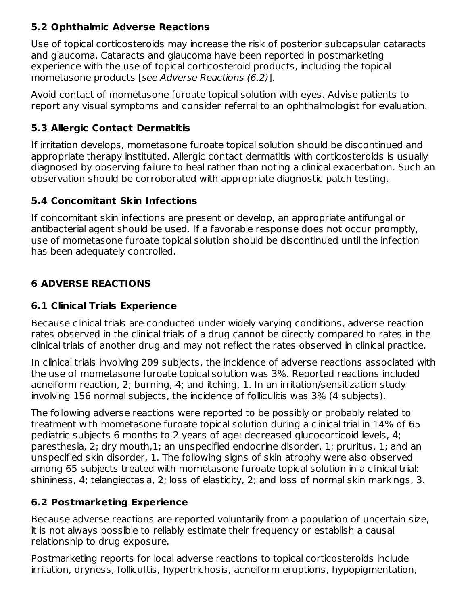## **5.2 Ophthalmic Adverse Reactions**

Use of topical corticosteroids may increase the risk of posterior subcapsular cataracts and glaucoma. Cataracts and glaucoma have been reported in postmarketing experience with the use of topical corticosteroid products, including the topical mometasone products [see Adverse Reactions (6.2)].

Avoid contact of mometasone furoate topical solution with eyes. Advise patients to report any visual symptoms and consider referral to an ophthalmologist for evaluation.

## **5.3 Allergic Contact Dermatitis**

If irritation develops, mometasone furoate topical solution should be discontinued and appropriate therapy instituted. Allergic contact dermatitis with corticosteroids is usually diagnosed by observing failure to heal rather than noting a clinical exacerbation. Such an observation should be corroborated with appropriate diagnostic patch testing.

## **5.4 Concomitant Skin Infections**

If concomitant skin infections are present or develop, an appropriate antifungal or antibacterial agent should be used. If a favorable response does not occur promptly, use of mometasone furoate topical solution should be discontinued until the infection has been adequately controlled.

## **6 ADVERSE REACTIONS**

### **6.1 Clinical Trials Experience**

Because clinical trials are conducted under widely varying conditions, adverse reaction rates observed in the clinical trials of a drug cannot be directly compared to rates in the clinical trials of another drug and may not reflect the rates observed in clinical practice.

In clinical trials involving 209 subjects, the incidence of adverse reactions associated with the use of mometasone furoate topical solution was 3%. Reported reactions included acneiform reaction, 2; burning, 4; and itching, 1. In an irritation/sensitization study involving 156 normal subjects, the incidence of folliculitis was 3% (4 subjects).

The following adverse reactions were reported to be possibly or probably related to treatment with mometasone furoate topical solution during a clinical trial in 14% of 65 pediatric subjects 6 months to 2 years of age: decreased glucocorticoid levels, 4; paresthesia, 2; dry mouth,1; an unspecified endocrine disorder, 1; pruritus, 1; and an unspecified skin disorder, 1. The following signs of skin atrophy were also observed among 65 subjects treated with mometasone furoate topical solution in a clinical trial: shininess, 4; telangiectasia, 2; loss of elasticity, 2; and loss of normal skin markings, 3.

## **6.2 Postmarketing Experience**

Because adverse reactions are reported voluntarily from a population of uncertain size, it is not always possible to reliably estimate their frequency or establish a causal relationship to drug exposure.

Postmarketing reports for local adverse reactions to topical corticosteroids include irritation, dryness, folliculitis, hypertrichosis, acneiform eruptions, hypopigmentation,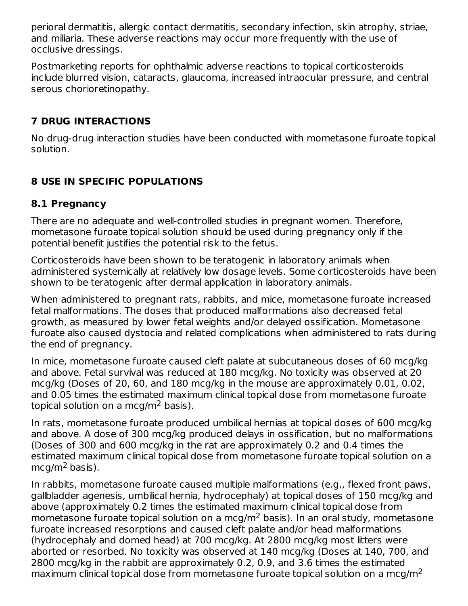perioral dermatitis, allergic contact dermatitis, secondary infection, skin atrophy, striae, and miliaria. These adverse reactions may occur more frequently with the use of occlusive dressings.

Postmarketing reports for ophthalmic adverse reactions to topical corticosteroids include blurred vision, cataracts, glaucoma, increased intraocular pressure, and central serous chorioretinopathy.

## **7 DRUG INTERACTIONS**

No drug-drug interaction studies have been conducted with mometasone furoate topical solution.

## **8 USE IN SPECIFIC POPULATIONS**

## **8.1 Pregnancy**

There are no adequate and well-controlled studies in pregnant women. Therefore, mometasone furoate topical solution should be used during pregnancy only if the potential benefit justifies the potential risk to the fetus.

Corticosteroids have been shown to be teratogenic in laboratory animals when administered systemically at relatively low dosage levels. Some corticosteroids have been shown to be teratogenic after dermal application in laboratory animals.

When administered to pregnant rats, rabbits, and mice, mometasone furoate increased fetal malformations. The doses that produced malformations also decreased fetal growth, as measured by lower fetal weights and/or delayed ossification. Mometasone furoate also caused dystocia and related complications when administered to rats during the end of pregnancy.

In mice, mometasone furoate caused cleft palate at subcutaneous doses of 60 mcg/kg and above. Fetal survival was reduced at 180 mcg/kg. No toxicity was observed at 20 mcg/kg (Doses of 20, 60, and 180 mcg/kg in the mouse are approximately 0.01, 0.02, and 0.05 times the estimated maximum clinical topical dose from mometasone furoate topical solution on a mcg/m $2$  basis).

In rats, mometasone furoate produced umbilical hernias at topical doses of 600 mcg/kg and above. A dose of 300 mcg/kg produced delays in ossification, but no malformations (Doses of 300 and 600 mcg/kg in the rat are approximately 0.2 and 0.4 times the estimated maximum clinical topical dose from mometasone furoate topical solution on a  $mcg/m<sup>2</sup>$  basis).

In rabbits, mometasone furoate caused multiple malformations (e.g., flexed front paws, gallbladder agenesis, umbilical hernia, hydrocephaly) at topical doses of 150 mcg/kg and above (approximately 0.2 times the estimated maximum clinical topical dose from mometasone furoate topical solution on a mcg/m<sup>2</sup> basis). In an oral study, mometasone furoate increased resorptions and caused cleft palate and/or head malformations (hydrocephaly and domed head) at 700 mcg/kg. At 2800 mcg/kg most litters were aborted or resorbed. No toxicity was observed at 140 mcg/kg (Doses at 140, 700, and 2800 mcg/kg in the rabbit are approximately 0.2, 0.9, and 3.6 times the estimated maximum clinical topical dose from mometasone furoate topical solution on a mcg/m $^{\mathsf{2}}$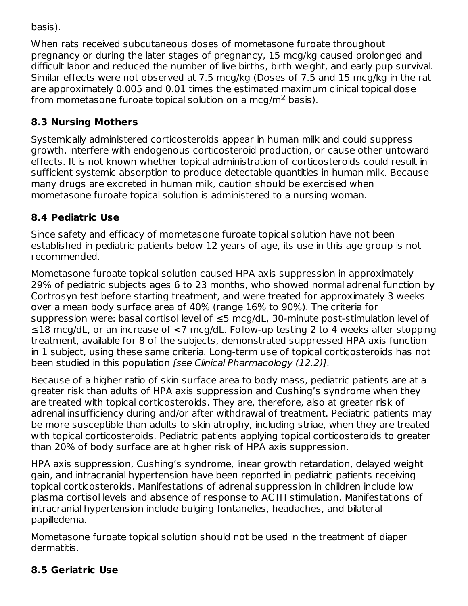basis).

When rats received subcutaneous doses of mometasone furoate throughout pregnancy or during the later stages of pregnancy, 15 mcg/kg caused prolonged and difficult labor and reduced the number of live births, birth weight, and early pup survival. Similar effects were not observed at 7.5 mcg/kg (Doses of 7.5 and 15 mcg/kg in the rat are approximately 0.005 and 0.01 times the estimated maximum clinical topical dose from mometasone furoate topical solution on a mcg/m $^2$  basis).

# **8.3 Nursing Mothers**

Systemically administered corticosteroids appear in human milk and could suppress growth, interfere with endogenous corticosteroid production, or cause other untoward effects. It is not known whether topical administration of corticosteroids could result in sufficient systemic absorption to produce detectable quantities in human milk. Because many drugs are excreted in human milk, caution should be exercised when mometasone furoate topical solution is administered to a nursing woman.

# **8.4 Pediatric Use**

Since safety and efficacy of mometasone furoate topical solution have not been established in pediatric patients below 12 years of age, its use in this age group is not recommended.

Mometasone furoate topical solution caused HPA axis suppression in approximately 29% of pediatric subjects ages 6 to 23 months, who showed normal adrenal function by Cortrosyn test before starting treatment, and were treated for approximately 3 weeks over a mean body surface area of 40% (range 16% to 90%). The criteria for suppression were: basal cortisol level of ≤5 mcg/dL, 30-minute post-stimulation level of ≤18 mcg/dL, or an increase of <7 mcg/dL. Follow-up testing 2 to 4 weeks after stopping treatment, available for 8 of the subjects, demonstrated suppressed HPA axis function in 1 subject, using these same criteria. Long-term use of topical corticosteroids has not been studied in this population [see Clinical Pharmacology (12.2)].

Because of a higher ratio of skin surface area to body mass, pediatric patients are at a greater risk than adults of HPA axis suppression and Cushing's syndrome when they are treated with topical corticosteroids. They are, therefore, also at greater risk of adrenal insufficiency during and/or after withdrawal of treatment. Pediatric patients may be more susceptible than adults to skin atrophy, including striae, when they are treated with topical corticosteroids. Pediatric patients applying topical corticosteroids to greater than 20% of body surface are at higher risk of HPA axis suppression.

HPA axis suppression, Cushing's syndrome, linear growth retardation, delayed weight gain, and intracranial hypertension have been reported in pediatric patients receiving topical corticosteroids. Manifestations of adrenal suppression in children include low plasma cortisol levels and absence of response to ACTH stimulation. Manifestations of intracranial hypertension include bulging fontanelles, headaches, and bilateral papilledema.

Mometasone furoate topical solution should not be used in the treatment of diaper dermatitis.

# **8.5 Geriatric Use**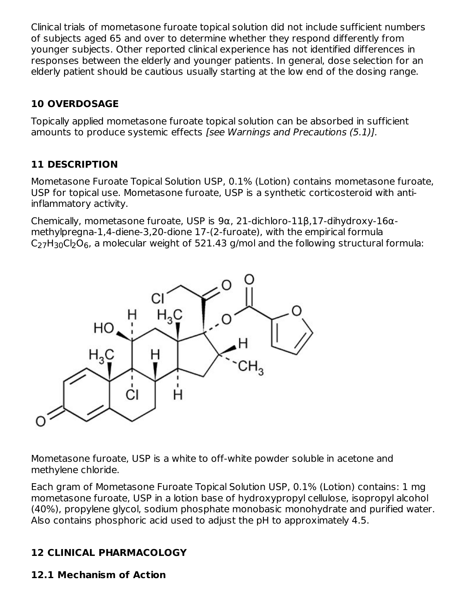Clinical trials of mometasone furoate topical solution did not include sufficient numbers of subjects aged 65 and over to determine whether they respond differently from younger subjects. Other reported clinical experience has not identified differences in responses between the elderly and younger patients. In general, dose selection for an elderly patient should be cautious usually starting at the low end of the dosing range.

## **10 OVERDOSAGE**

Topically applied mometasone furoate topical solution can be absorbed in sufficient amounts to produce systemic effects [see Warnings and Precautions (5.1)].

## **11 DESCRIPTION**

Mometasone Furoate Topical Solution USP, 0.1% (Lotion) contains mometasone furoate, USP for topical use. Mometasone furoate, USP is a synthetic corticosteroid with antiinflammatory activity.

Chemically, mometasone furoate, USP is 9α, 21-dichloro-11β,17-dihydroxy-16αmethylpregna-1,4-diene-3,20-dione 17-(2-furoate), with the empirical formula  $\mathsf{C}_2$ 7H $_{30}$ Cl $_{2}$ O $_{6}$ , a molecular weight of 521.43 g/mol and the following structural formula:



Mometasone furoate, USP is a white to off-white powder soluble in acetone and methylene chloride.

Each gram of Mometasone Furoate Topical Solution USP, 0.1% (Lotion) contains: 1 mg mometasone furoate, USP in a lotion base of hydroxypropyl cellulose, isopropyl alcohol (40%), propylene glycol, sodium phosphate monobasic monohydrate and purified water. Also contains phosphoric acid used to adjust the pH to approximately 4.5.

# **12 CLINICAL PHARMACOLOGY**

### **12.1 Mechanism of Action**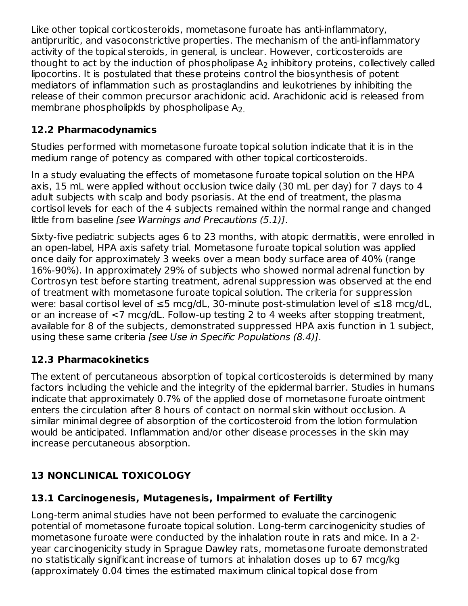Like other topical corticosteroids, mometasone furoate has anti-inflammatory, antipruritic, and vasoconstrictive properties. The mechanism of the anti-inflammatory activity of the topical steroids, in general, is unclear. However, corticosteroids are thought to act by the induction of phospholipase  ${\sf A}_2$  inhibitory proteins, collectively called lipocortins. It is postulated that these proteins control the biosynthesis of potent mediators of inflammation such as prostaglandins and leukotrienes by inhibiting the release of their common precursor arachidonic acid. Arachidonic acid is released from membrane phospholipids by phospholipase A 2.

## **12.2 Pharmacodynamics**

Studies performed with mometasone furoate topical solution indicate that it is in the medium range of potency as compared with other topical corticosteroids.

In a study evaluating the effects of mometasone furoate topical solution on the HPA axis, 15 mL were applied without occlusion twice daily (30 mL per day) for 7 days to 4 adult subjects with scalp and body psoriasis. At the end of treatment, the plasma cortisol levels for each of the 4 subjects remained within the normal range and changed little from baseline [see Warnings and Precautions (5.1)].

Sixty-five pediatric subjects ages 6 to 23 months, with atopic dermatitis, were enrolled in an open-label, HPA axis safety trial. Mometasone furoate topical solution was applied once daily for approximately 3 weeks over a mean body surface area of 40% (range 16%-90%). In approximately 29% of subjects who showed normal adrenal function by Cortrosyn test before starting treatment, adrenal suppression was observed at the end of treatment with mometasone furoate topical solution. The criteria for suppression were: basal cortisol level of ≤5 mcg/dL, 30-minute post-stimulation level of ≤18 mcg/dL, or an increase of <7 mcg/dL. Follow-up testing 2 to 4 weeks after stopping treatment, available for 8 of the subjects, demonstrated suppressed HPA axis function in 1 subject, using these same criteria [see Use in Specific Populations (8.4)].

## **12.3 Pharmacokinetics**

The extent of percutaneous absorption of topical corticosteroids is determined by many factors including the vehicle and the integrity of the epidermal barrier. Studies in humans indicate that approximately 0.7% of the applied dose of mometasone furoate ointment enters the circulation after 8 hours of contact on normal skin without occlusion. A similar minimal degree of absorption of the corticosteroid from the lotion formulation would be anticipated. Inflammation and/or other disease processes in the skin may increase percutaneous absorption.

## **13 NONCLINICAL TOXICOLOGY**

### **13.1 Carcinogenesis, Mutagenesis, Impairment of Fertility**

Long-term animal studies have not been performed to evaluate the carcinogenic potential of mometasone furoate topical solution. Long-term carcinogenicity studies of mometasone furoate were conducted by the inhalation route in rats and mice. In a 2 year carcinogenicity study in Sprague Dawley rats, mometasone furoate demonstrated no statistically significant increase of tumors at inhalation doses up to 67 mcg/kg (approximately 0.04 times the estimated maximum clinical topical dose from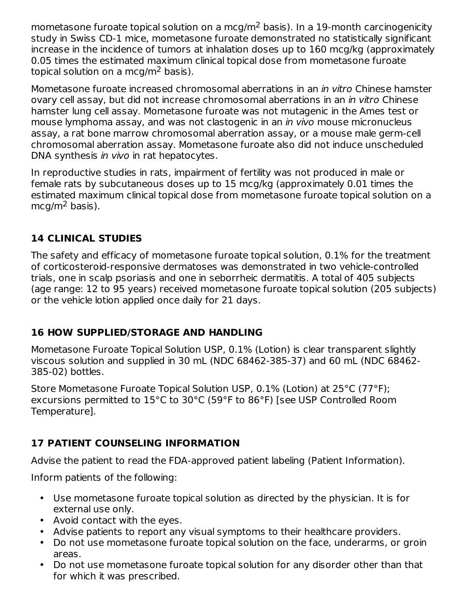mometasone furoate topical solution on a mcg/m<sup>2</sup> basis). In a 19-month carcinogenicity study in Swiss CD-1 mice, mometasone furoate demonstrated no statistically significant increase in the incidence of tumors at inhalation doses up to 160 mcg/kg (approximately 0.05 times the estimated maximum clinical topical dose from mometasone furoate topical solution on a mcg/m $2$  basis).

Mometasone furoate increased chromosomal aberrations in an in vitro Chinese hamster ovary cell assay, but did not increase chromosomal aberrations in an in vitro Chinese hamster lung cell assay. Mometasone furoate was not mutagenic in the Ames test or mouse lymphoma assay, and was not clastogenic in an *in vivo* mouse micronucleus assay, a rat bone marrow chromosomal aberration assay, or a mouse male germ-cell chromosomal aberration assay. Mometasone furoate also did not induce unscheduled DNA synthesis in vivo in rat hepatocytes.

In reproductive studies in rats, impairment of fertility was not produced in male or female rats by subcutaneous doses up to 15 mcg/kg (approximately 0.01 times the estimated maximum clinical topical dose from mometasone furoate topical solution on a  $mcg/m<sup>2</sup>$  basis).

## **14 CLINICAL STUDIES**

The safety and efficacy of mometasone furoate topical solution, 0.1% for the treatment of corticosteroid-responsive dermatoses was demonstrated in two vehicle-controlled trials, one in scalp psoriasis and one in seborrheic dermatitis. A total of 405 subjects (age range: 12 to 95 years) received mometasone furoate topical solution (205 subjects) or the vehicle lotion applied once daily for 21 days.

## **16 HOW SUPPLIED/STORAGE AND HANDLING**

Mometasone Furoate Topical Solution USP, 0.1% (Lotion) is clear transparent slightly viscous solution and supplied in 30 mL (NDC 68462-385-37) and 60 mL (NDC 68462- 385-02) bottles.

Store Mometasone Furoate Topical Solution USP, 0.1% (Lotion) at 25°C (77°F); excursions permitted to 15°C to 30°C (59°F to 86°F) [see USP Controlled Room Temperature].

## **17 PATIENT COUNSELING INFORMATION**

Advise the patient to read the FDA-approved patient labeling (Patient Information).

Inform patients of the following:

- Use mometasone furoate topical solution as directed by the physician. It is for external use only.
- Avoid contact with the eyes.
- Advise patients to report any visual symptoms to their healthcare providers.
- Do not use mometasone furoate topical solution on the face, underarms, or groin areas.
- $\bullet$ Do not use mometasone furoate topical solution for any disorder other than that for which it was prescribed.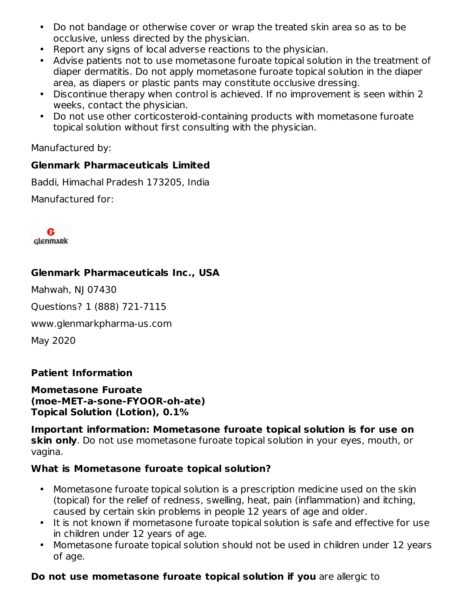- Do not bandage or otherwise cover or wrap the treated skin area so as to be occlusive, unless directed by the physician.
- Report any signs of local adverse reactions to the physician.
- Advise patients not to use mometasone furoate topical solution in the treatment of diaper dermatitis. Do not apply mometasone furoate topical solution in the diaper area, as diapers or plastic pants may constitute occlusive dressing.
- Discontinue therapy when control is achieved. If no improvement is seen within 2 weeks, contact the physician.
- Do not use other corticosteroid-containing products with mometasone furoate topical solution without first consulting with the physician.

Manufactured by:

## **Glenmark Pharmaceuticals Limited**

Baddi, Himachal Pradesh 173205, India

Manufactured for:

в **Glenmark** 

## **Glenmark Pharmaceuticals Inc., USA**

Mahwah, NJ 07430

Questions? 1 (888) 721-7115

www.glenmarkpharma-us.com

May 2020

## **Patient Information**

**Mometasone Furoate (moe-MET-a-sone-FYOOR-oh-ate) Topical Solution (Lotion), 0.1%**

**Important information: Mometasone furoate topical solution is for use on skin only**. Do not use mometasone furoate topical solution in your eyes, mouth, or vagina.

## **What is Mometasone furoate topical solution?**

- Mometasone furoate topical solution is a prescription medicine used on the skin (topical) for the relief of redness, swelling, heat, pain (inflammation) and itching, caused by certain skin problems in people 12 years of age and older.
- It is not known if mometasone furoate topical solution is safe and effective for use in children under 12 years of age.
- Mometasone furoate topical solution should not be used in children under 12 years of age.

### **Do not use mometasone furoate topical solution if you** are allergic to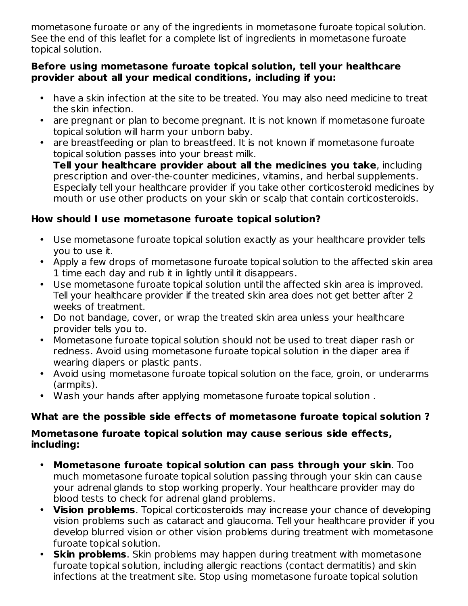mometasone furoate or any of the ingredients in mometasone furoate topical solution. See the end of this leaflet for a complete list of ingredients in mometasone furoate topical solution.

#### **Before using mometasone furoate topical solution, tell your healthcare provider about all your medical conditions, including if you:**

- have a skin infection at the site to be treated. You may also need medicine to treat the skin infection.
- are pregnant or plan to become pregnant. It is not known if mometasone furoate topical solution will harm your unborn baby.
- are breastfeeding or plan to breastfeed. It is not known if mometasone furoate topical solution passes into your breast milk.

**Tell your healthcare provider about all the medicines you take**, including prescription and over-the-counter medicines, vitamins, and herbal supplements. Especially tell your healthcare provider if you take other corticosteroid medicines by mouth or use other products on your skin or scalp that contain corticosteroids.

### **How should I use mometasone furoate topical solution?**

- Use mometasone furoate topical solution exactly as your healthcare provider tells you to use it.
- Apply a few drops of mometasone furoate topical solution to the affected skin area 1 time each day and rub it in lightly until it disappears.
- Use mometasone furoate topical solution until the affected skin area is improved. Tell your healthcare provider if the treated skin area does not get better after 2 weeks of treatment.
- Do not bandage, cover, or wrap the treated skin area unless your healthcare provider tells you to.
- Mometasone furoate topical solution should not be used to treat diaper rash or redness. Avoid using mometasone furoate topical solution in the diaper area if wearing diapers or plastic pants.
- Avoid using mometasone furoate topical solution on the face, groin, or underarms (armpits).
- Wash your hands after applying mometasone furoate topical solution .

## **What are the possible side effects of mometasone furoate topical solution ?**

#### **Mometasone furoate topical solution may cause serious side effects, including:**

- **Mometasone furoate topical solution can pass through your skin**. Too much mometasone furoate topical solution passing through your skin can cause your adrenal glands to stop working properly. Your healthcare provider may do blood tests to check for adrenal gland problems.
- **Vision problems**. Topical corticosteroids may increase your chance of developing vision problems such as cataract and glaucoma. Tell your healthcare provider if you develop blurred vision or other vision problems during treatment with mometasone furoate topical solution.
- **Skin problems**. Skin problems may happen during treatment with mometasone furoate topical solution, including allergic reactions (contact dermatitis) and skin infections at the treatment site. Stop using mometasone furoate topical solution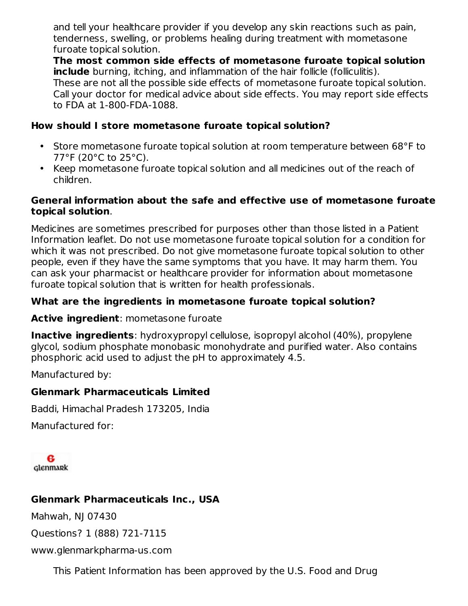and tell your healthcare provider if you develop any skin reactions such as pain, tenderness, swelling, or problems healing during treatment with mometasone furoate topical solution.

**The most common side effects of mometasone furoate topical solution include** burning, itching, and inflammation of the hair follicle (folliculitis). These are not all the possible side effects of mometasone furoate topical solution. Call your doctor for medical advice about side effects. You may report side effects to FDA at 1-800-FDA-1088.

### **How should I store mometasone furoate topical solution?**

- Store mometasone furoate topical solution at room temperature between 68°F to 77°F (20°C to 25°C).
- Keep mometasone furoate topical solution and all medicines out of the reach of children.

#### **General information about the safe and effective use of mometasone furoate topical solution**.

Medicines are sometimes prescribed for purposes other than those listed in a Patient Information leaflet. Do not use mometasone furoate topical solution for a condition for which it was not prescribed. Do not give mometasone furoate topical solution to other people, even if they have the same symptoms that you have. It may harm them. You can ask your pharmacist or healthcare provider for information about mometasone furoate topical solution that is written for health professionals.

### **What are the ingredients in mometasone furoate topical solution?**

**Active ingredient**: mometasone furoate

**Inactive ingredients**: hydroxypropyl cellulose, isopropyl alcohol (40%), propylene glycol, sodium phosphate monobasic monohydrate and purified water. Also contains phosphoric acid used to adjust the pH to approximately 4.5.

Manufactured by:

### **Glenmark Pharmaceuticals Limited**

Baddi, Himachal Pradesh 173205, India

Manufactured for:

в **Glenmark** 

### **Glenmark Pharmaceuticals Inc., USA**

Mahwah, NJ 07430

Questions? 1 (888) 721-7115

www.glenmarkpharma-us.com

This Patient Information has been approved by the U.S. Food and Drug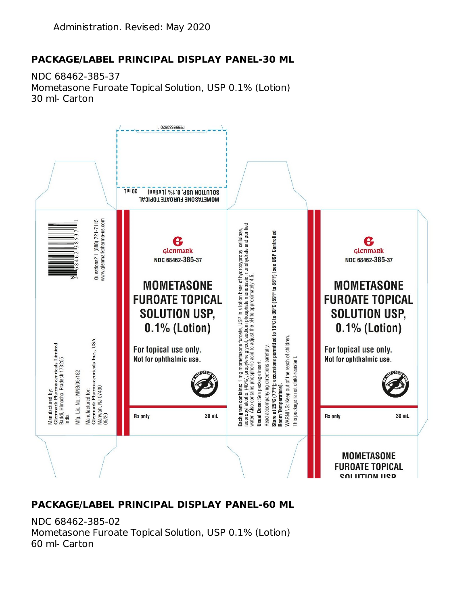### **PACKAGE/LABEL PRINCIPAL DISPLAY PANEL-30 ML**

NDC 68462-385-37 Mometasone Furoate Topical Solution, USP 0.1% (Lotion) 30 ml- Carton



### **PACKAGE/LABEL PRINCIPAL DISPLAY PANEL-60 ML**

NDC 68462-385-02 Mometasone Furoate Topical Solution, USP 0.1% (Lotion) 60 ml- Carton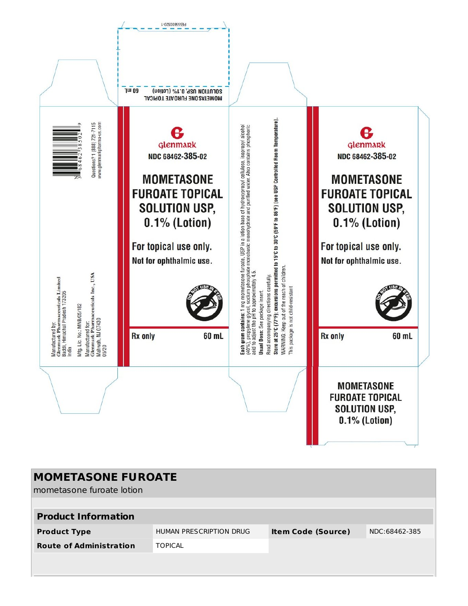

| <b>MOMETASONE FUROATE</b><br>mometasone furoate lotion |                         |                           |               |  |  |  |
|--------------------------------------------------------|-------------------------|---------------------------|---------------|--|--|--|
|                                                        |                         |                           |               |  |  |  |
| <b>Product Information</b>                             |                         |                           |               |  |  |  |
| <b>Product Type</b>                                    | HUMAN PRESCRIPTION DRUG | <b>Item Code (Source)</b> | NDC:68462-385 |  |  |  |
| <b>Route of Administration</b>                         | <b>TOPICAL</b>          |                           |               |  |  |  |
|                                                        |                         |                           |               |  |  |  |
|                                                        |                         |                           |               |  |  |  |